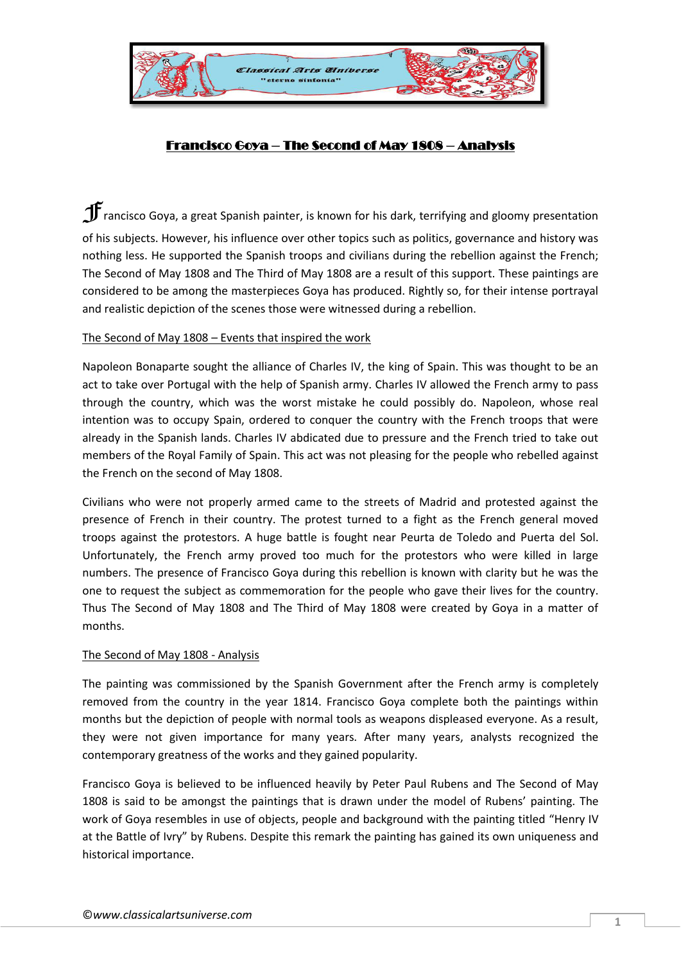

## Francisco Goya – The Second of May 1808 – Analysis

 $\mathbf{F}$  rancisco Goya, a great Spanish painter, is known for his dark, terrifying and gloomy presentation of his subjects. However, his influence over other topics such as politics, governance and history was nothing less. He supported the Spanish troops and civilians during the rebellion against the French; The Second of May 1808 and The Third of May 1808 are a result of this support. These paintings are considered to be among the masterpieces Goya has produced. Rightly so, for their intense portrayal and realistic depiction of the scenes those were witnessed during a rebellion.

## The Second of May 1808 – Events that inspired the work

Napoleon Bonaparte sought the alliance of Charles IV, the king of Spain. This was thought to be an act to take over Portugal with the help of Spanish army. Charles IV allowed the French army to pass through the country, which was the worst mistake he could possibly do. Napoleon, whose real intention was to occupy Spain, ordered to conquer the country with the French troops that were already in the Spanish lands. Charles IV abdicated due to pressure and the French tried to take out members of the Royal Family of Spain. This act was not pleasing for the people who rebelled against the French on the second of May 1808.

Civilians who were not properly armed came to the streets of Madrid and protested against the presence of French in their country. The protest turned to a fight as the French general moved troops against the protestors. A huge battle is fought near Peurta de Toledo and Puerta del Sol. Unfortunately, the French army proved too much for the protestors who were killed in large numbers. The presence of Francisco Goya during this rebellion is known with clarity but he was the one to request the subject as commemoration for the people who gave their lives for the country. Thus The Second of May 1808 and The Third of May 1808 were created by Goya in a matter of months.

## The Second of May 1808 - Analysis

The painting was commissioned by the Spanish Government after the French army is completely removed from the country in the year 1814. Francisco Goya complete both the paintings within months but the depiction of people with normal tools as weapons displeased everyone. As a result, they were not given importance for many years. After many years, analysts recognized the contemporary greatness of the works and they gained popularity.

Francisco Goya is believed to be influenced heavily by Peter Paul Rubens and The Second of May 1808 is said to be amongst the paintings that is drawn under the model of Rubens' painting. The work of Goya resembles in use of objects, people and background with the painting titled "Henry IV at the Battle of Ivry" by Rubens. Despite this remark the painting has gained its own uniqueness and historical importance.